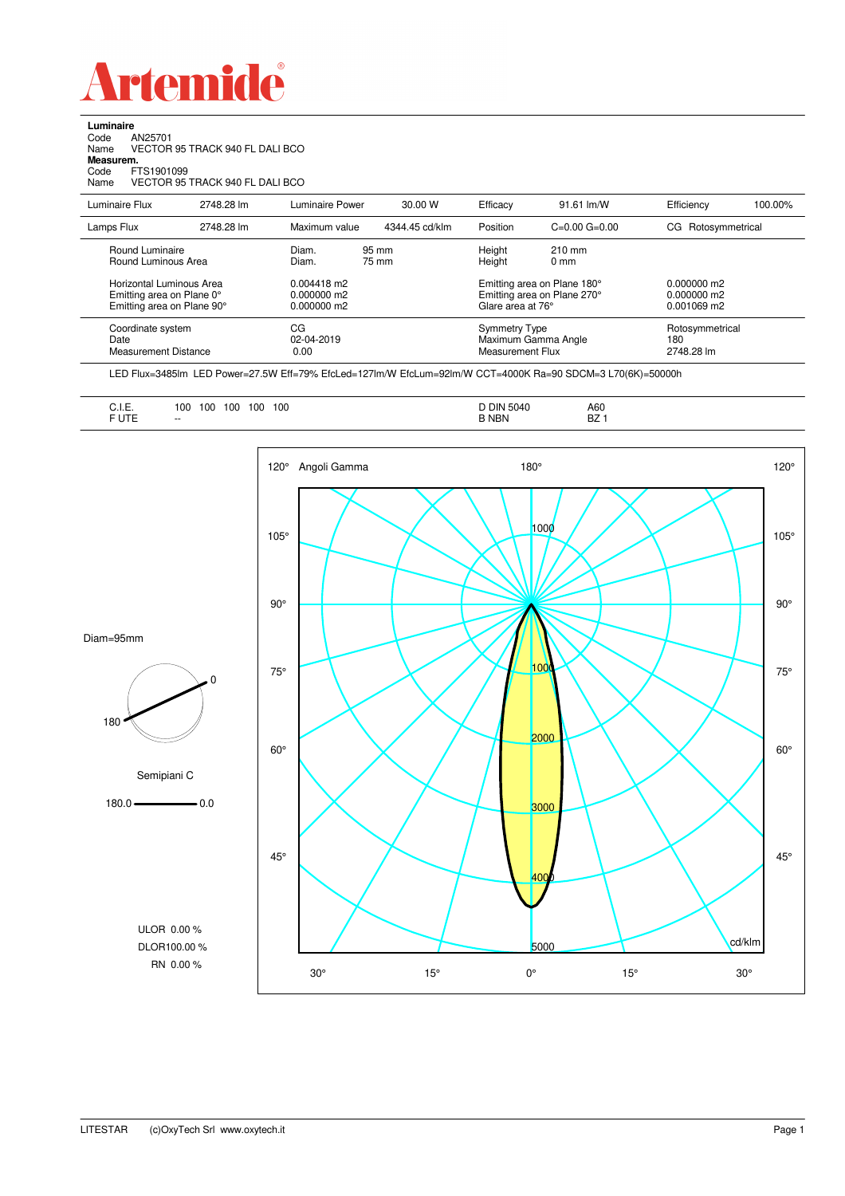

**Luminaire**<br>Code /<br>Name \ Code AN25701 Name VECTOR 95 TRACK 940 FL DALI BCO **Measurem.** Code FTS1901099

Name VECTOR 95 TRACK 940 FL DALI BCO

| Luminaire Flux                                                                      | 2748.28 lm | Luminaire Power                                 | 30.00 W        | Efficacy                          | $91.61 \,$ lm/W                                                                 | Efficiency                                      | 100.00% |  |
|-------------------------------------------------------------------------------------|------------|-------------------------------------------------|----------------|-----------------------------------|---------------------------------------------------------------------------------|-------------------------------------------------|---------|--|
| Lamps Flux                                                                          | 2748.28 lm | Maximum value                                   | 4344.45 cd/klm | Position                          | $C=0.00$ $G=0.00$                                                               | CG Rotosymmetrical                              |         |  |
| Round Luminaire<br>Round Luminous Area                                              |            | Diam.<br>Diam.                                  | 95 mm<br>75 mm | Height<br>Height                  | $210 \text{ mm}$<br>$0 \text{ mm}$                                              |                                                 |         |  |
| Horizontal Luminous Area<br>Emitting area on Plane 0°<br>Emitting area on Plane 90° |            | $0.004418$ m2<br>$0.000000$ m2<br>$0.000000$ m2 |                |                                   | Emitting area on Plane 180°<br>Emitting area on Plane 270°<br>Glare area at 76° | $0.000000$ m2<br>$0.000000$ m2<br>$0.001069$ m2 |         |  |
| Coordinate system<br>Date<br>Measurement Distance                                   |            | CG<br>02-04-2019<br>0.00                        |                | Symmetry Type<br>Measurement Flux | Maximum Gamma Angle                                                             | Rotosymmetrical<br>180<br>2748.28 lm            |         |  |

LED Flux=3485lm LED Power=27.5W Eff=79% EfcLed=127lm/W EfcLum=92lm/W CCT=4000K Ra=90 SDCM=3 L70(6K)=50000h